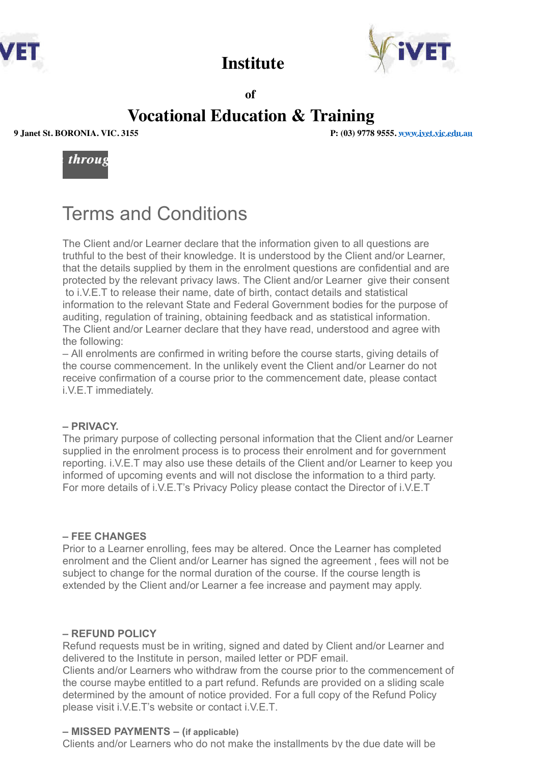



 **of**

## **Vocational Education & Training**

 **Institute** 

**9 Janet St. BORONIA. VIC. 3155 P: (03) 9778 9555. www.ivet.vic.edu.au**



# Terms and Conditions

The Client and/or Learner declare that the information given to all questions are truthful to the best of their knowledge. It is understood by the Client and/or Learner, that the details supplied by them in the enrolment questions are confidential and are protected by the relevant privacy laws. The Client and/or Learner give their consent to i.V.E.T to release their name, date of birth, contact details and statistical information to the relevant State and Federal Government bodies for the purpose of auditing, regulation of training, obtaining feedback and as statistical information. The Client and/or Learner declare that they have read, understood and agree with the following:

– All enrolments are confirmed in writing before the course starts, giving details of the course commencement. In the unlikely event the Client and/or Learner do not receive confirmation of a course prior to the commencement date, please contact i.V.E.T immediately.

#### **– PRIVACY.**

The primary purpose of collecting personal information that the Client and/or Learner supplied in the enrolment process is to process their enrolment and for government reporting. i.V.E.T may also use these details of the Client and/or Learner to keep you informed of upcoming events and will not disclose the information to a third party. For more details of i.V.E.T's Privacy Policy please contact the Director of i.V.E.T

#### **– FEE CHANGES**

Prior to a Learner enrolling, fees may be altered. Once the Learner has completed enrolment and the Client and/or Learner has signed the agreement , fees will not be subject to change for the normal duration of the course. If the course length is extended by the Client and/or Learner a fee increase and payment may apply.

#### **– REFUND POLICY**

Refund requests must be in writing, signed and dated by Client and/or Learner and delivered to the Institute in person, mailed letter or PDF email.

Clients and/or Learners who withdraw from the course prior to the commencement of the course maybe entitled to a part refund. Refunds are provided on a sliding scale determined by the amount of notice provided. For a full copy of the Refund Policy please visit i.V.E.T's website or contact i.V.E.T.

### **– MISSED PAYMENTS – (if applicable)**

Clients and/or Learners who do not make the installments by the due date will be